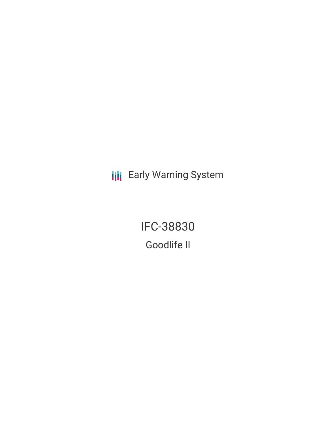**III** Early Warning System

IFC-38830 Goodlife II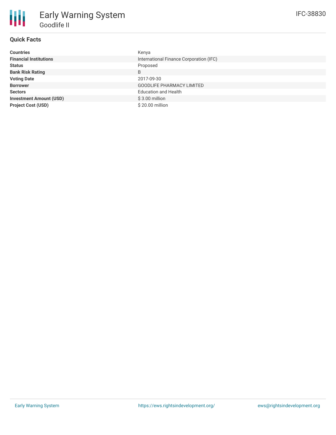# **Quick Facts**

| <b>Countries</b>               | Kenya                                   |
|--------------------------------|-----------------------------------------|
| <b>Financial Institutions</b>  | International Finance Corporation (IFC) |
| <b>Status</b>                  | Proposed                                |
| <b>Bank Risk Rating</b>        | B                                       |
| <b>Voting Date</b>             | 2017-09-30                              |
| <b>Borrower</b>                | <b>GOODLIFE PHARMACY LIMITED</b>        |
| <b>Sectors</b>                 | <b>Education and Health</b>             |
| <b>Investment Amount (USD)</b> | $$3.00$ million                         |
| <b>Project Cost (USD)</b>      | \$20.00 million                         |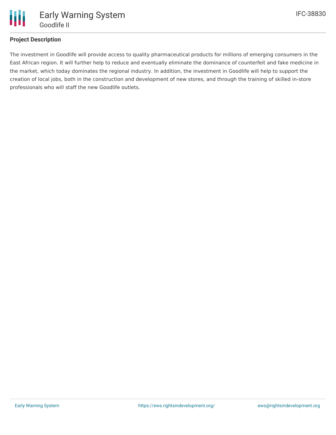

## **Project Description**

The investment in Goodlife will provide access to quality pharmaceutical products for millions of emerging consumers in the East African region. It will further help to reduce and eventually eliminate the dominance of counterfeit and fake medicine in the market, which today dominates the regional industry. In addition, the investment in Goodlife will help to support the creation of local jobs, both in the construction and development of new stores, and through the training of skilled in-store professionals who will staff the new Goodlife outlets.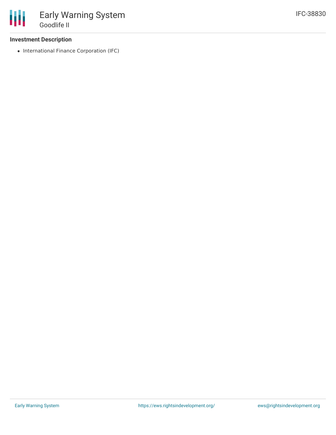### **Investment Description**

• International Finance Corporation (IFC)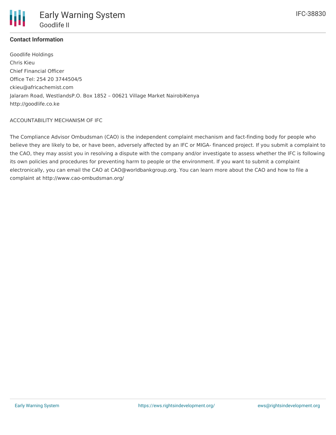# **Contact Information**

Goodlife Holdings Chris Kieu Chief Financial Officer Office Tel: 254 20 3744504/5 ckieu@africachemist.com Jalaram Road, WestlandsP.O. Box 1852 – 00621 Village Market NairobiKenya http://goodlife.co.ke

#### ACCOUNTABILITY MECHANISM OF IFC

The Compliance Advisor Ombudsman (CAO) is the independent complaint mechanism and fact-finding body for people who believe they are likely to be, or have been, adversely affected by an IFC or MIGA- financed project. If you submit a complaint to the CAO, they may assist you in resolving a dispute with the company and/or investigate to assess whether the IFC is following its own policies and procedures for preventing harm to people or the environment. If you want to submit a complaint electronically, you can email the CAO at CAO@worldbankgroup.org. You can learn more about the CAO and how to file a complaint at http://www.cao-ombudsman.org/